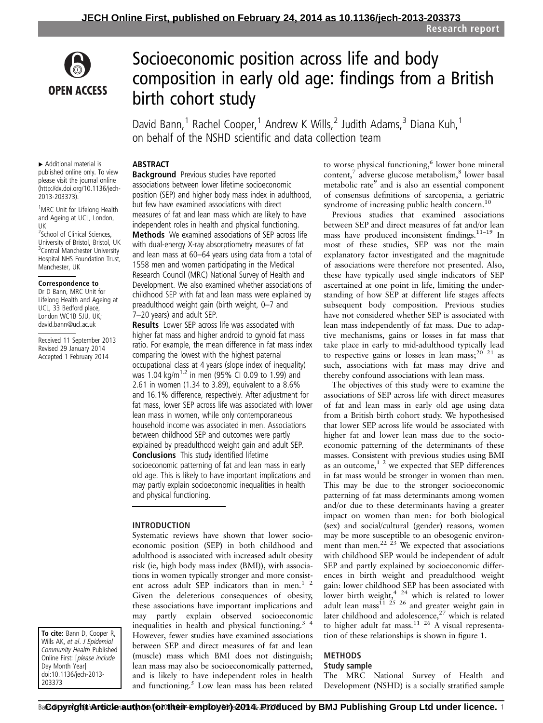

# Socioeconomic position across life and body composition in early old age: findings from a British birth cohort study

David Bann,<sup>1</sup> Rachel Cooper,<sup>1</sup> Andrew K Wills,<sup>2</sup> Judith Adams,<sup>3</sup> Diana Kuh,<sup>1</sup> on behalf of the NSHD scientific and data collection team

▸ Additional material is published online only. To view please visit the journal online [\(http://dx.doi.org/10.1136/jech-](http://dx.doi.org/10.1136/jech-2013-203373)[2013-203373\)](http://dx.doi.org/10.1136/jech-2013-203373).

<sup>1</sup>MRC Unit for Lifelong Health and Ageing at UCL, London, UK

<sup>2</sup>School of Clinical Sciences, University of Bristol, Bristol, UK <sup>3</sup> Central Manchester University Hospital NHS Foundation Trust, Manchester, UK

#### Correspondence to

Dr D Bann, MRC Unit for Lifelong Health and Ageing at UCL, 33 Bedford place, London WC1B 5JU, UK; david.bann@ucl.ac.uk

Received 11 September 2013 Revised 29 January 2014 Accepted 1 February 2014

# **ABSTRACT**

Background Previous studies have reported associations between lower lifetime socioeconomic position (SEP) and higher body mass index in adulthood, but few have examined associations with direct measures of fat and lean mass which are likely to have independent roles in health and physical functioning.

Methods We examined associations of SEP across life with dual-energy X-ray absorptiometry measures of fat and lean mass at 60–64 years using data from a total of 1558 men and women participating in the Medical Research Council (MRC) National Survey of Health and Development. We also examined whether associations of childhood SEP with fat and lean mass were explained by preadulthood weight gain (birth weight, 0–7 and 7–20 years) and adult SEP.

Results Lower SEP across life was associated with higher fat mass and higher android to gynoid fat mass ratio. For example, the mean difference in fat mass index comparing the lowest with the highest paternal occupational class at 4 years (slope index of inequality) was 1.04 kg/m<sup>1.2</sup> in men (95% CI 0.09 to 1.99) and 2.61 in women (1.34 to 3.89), equivalent to a 8.6% and 16.1% difference, respectively. After adjustment for fat mass, lower SEP across life was associated with lower lean mass in women, while only contemporaneous household income was associated in men. Associations between childhood SEP and outcomes were partly explained by preadulthood weight gain and adult SEP. Conclusions This study identified lifetime socioeconomic patterning of fat and lean mass in early old age. This is likely to have important implications and may partly explain socioeconomic inequalities in health and physical functioning.

#### INTRODUCTION

Systematic reviews have shown that lower socioeconomic position (SEP) in both childhood and adulthood is associated with increased adult obesity risk (ie, high body mass index (BMI)), with associations in women typically stronger and more consistent across adult SEP indicators than in men. $12$ Given the deleterious consequences of obesity, these associations have important implications and may partly explain observed socioeconomic inequalities in health and physical functioning.<sup>3</sup> <sup>4</sup> However, fewer studies have examined associations between SEP and direct measures of fat and lean (muscle) mass which BMI does not distinguish; lean mass may also be socioeconomically patterned, and is likely to have independent roles in health and functioning.<sup>5</sup> Low lean mass has been related

to worse physical functioning, $6$  lower bone mineral  $content<sub>1</sub><sup>7</sup> adverse glucose metabolism<sub>1</sub><sup>8</sup> lower basal$ metabolic rate<sup>9</sup> and is also an essential component of consensus definitions of sarcopenia, a geriatric syndrome of increasing public health concern.<sup>10</sup>

Previous studies that examined associations between SEP and direct measures of fat and/or lean mass have produced inconsistent findings.<sup>11-19</sup> In most of these studies, SEP was not the main explanatory factor investigated and the magnitude of associations were therefore not presented. Also, these have typically used single indicators of SEP ascertained at one point in life, limiting the understanding of how SEP at different life stages affects subsequent body composition. Previous studies have not considered whether SEP is associated with lean mass independently of fat mass. Due to adaptive mechanisms, gains or losses in fat mass that take place in early to mid-adulthood typically lead to respective gains or losses in lean mass;  $20^{20}$  21 as such, associations with fat mass may drive and thereby confound associations with lean mass.

The objectives of this study were to examine the associations of SEP across life with direct measures of fat and lean mass in early old age using data from a British birth cohort study. We hypothesised that lower SEP across life would be associated with higher fat and lower lean mass due to the socioeconomic patterning of the determinants of these masses. Consistent with previous studies using BMI as an outcome, $1<sup>2</sup>$  we expected that SEP differences in fat mass would be stronger in women than men. This may be due to the stronger socioeconomic patterning of fat mass determinants among women and/or due to these determinants having a greater impact on women than men: for both biological (sex) and social/cultural (gender) reasons, women may be more susceptible to an obesogenic environment than men.<sup>22  $\overline{2}$ 3 We expected that associations</sup> with childhood SEP would be independent of adult SEP and partly explained by socioeconomic differences in birth weight and preadulthood weight gain: lower childhood SEP has been associated with lower birth weight,<sup>4 24</sup> which is related to lower adult lean mass $^{11}$  25 26 and greater weight gain in later childhood and adolescence, $27$  which is related to higher adult fat mass.<sup>11 26</sup> A visual representation of these relationships is shown in figure 1.

# METHODS

# Study sample

The MRC National Survey of Health and Development (NSHD) is a socially stratified sample

To cite: Bann D, Cooper R, Wills AK, et al. J Epidemiol Community Health Published Online First: [please include Day Month Year] doi:10.1136/jech-2013- 203373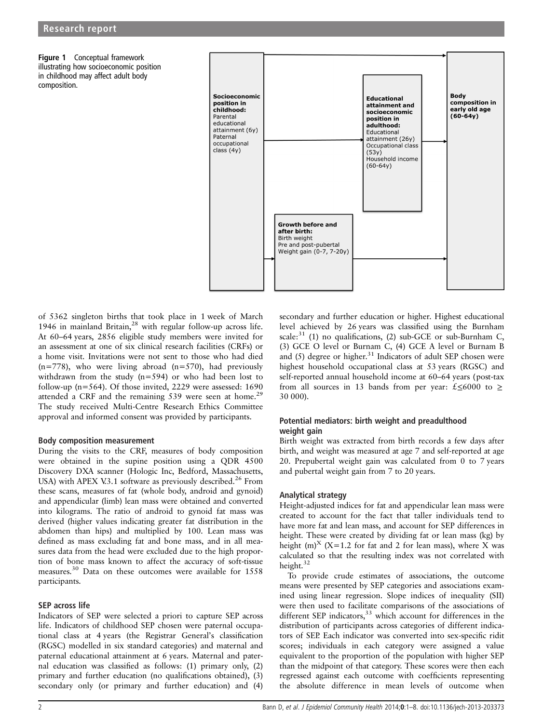Figure 1 Conceptual framework illustrating how socioeconomic position in childhood may affect adult body composition.



of 5362 singleton births that took place in 1 week of March 1946 in mainland Britain,<sup>28</sup> with regular follow-up across life. At 60–64 years, 2856 eligible study members were invited for an assessment at one of six clinical research facilities (CRFs) or a home visit. Invitations were not sent to those who had died  $(n=778)$ , who were living abroad  $(n=570)$ , had previously withdrawn from the study (n=594) or who had been lost to follow-up (n=564). Of those invited, 2229 were assessed: 1690 attended a CRF and the remaining 539 were seen at home.<sup>29</sup> The study received Multi-Centre Research Ethics Committee approval and informed consent was provided by participants.

## Body composition measurement

During the visits to the CRF, measures of body composition were obtained in the supine position using a QDR 4500 Discovery DXA scanner (Hologic Inc, Bedford, Massachusetts, USA) with APEX V.3.1 software as previously described.<sup>26</sup> From these scans, measures of fat (whole body, android and gynoid) and appendicular (limb) lean mass were obtained and converted into kilograms. The ratio of android to gynoid fat mass was derived (higher values indicating greater fat distribution in the abdomen than hips) and multiplied by 100. Lean mass was defined as mass excluding fat and bone mass, and in all measures data from the head were excluded due to the high proportion of bone mass known to affect the accuracy of soft-tissue measures.<sup>30</sup> Data on these outcomes were available for 1558 participants.

## SEP across life

Indicators of SEP were selected a priori to capture SEP across life. Indicators of childhood SEP chosen were paternal occupational class at 4 years (the Registrar General's classification (RGSC) modelled in six standard categories) and maternal and paternal educational attainment at 6 years. Maternal and paternal education was classified as follows: (1) primary only, (2) primary and further education (no qualifications obtained), (3) secondary only (or primary and further education) and (4)

secondary and further education or higher. Highest educational level achieved by 26 years was classified using the Burnham scale: $31$  (1) no qualifications, (2) sub-GCE or sub-Burnham C, (3) GCE O level or Burnam C, (4) GCE A level or Burnam B and  $(5)$  degree or higher.<sup>31</sup> Indicators of adult SEP chosen were highest household occupational class at 53 years (RGSC) and self-reported annual household income at 60–64 years (post-tax from all sources in 13 bands from per year: £≤6000 to ≥ 30 000).

## Potential mediators: birth weight and preadulthood weight gain

Birth weight was extracted from birth records a few days after birth, and weight was measured at age 7 and self-reported at age 20. Prepubertal weight gain was calculated from 0 to 7 years and pubertal weight gain from 7 to 20 years.

#### Analytical strategy

Height-adjusted indices for fat and appendicular lean mass were created to account for the fact that taller individuals tend to have more fat and lean mass, and account for SEP differences in height. These were created by dividing fat or lean mass (kg) by height (m)<sup>X</sup> (X=1.2 for fat and 2 for lean mass), where X was calculated so that the resulting index was not correlated with height.<sup>32</sup>

To provide crude estimates of associations, the outcome means were presented by SEP categories and associations examined using linear regression. Slope indices of inequality (SII) were then used to facilitate comparisons of the associations of different SEP indicators,<sup>33</sup> which account for differences in the distribution of participants across categories of different indicators of SEP. Each indicator was converted into sex-specific ridit scores; individuals in each category were assigned a value equivalent to the proportion of the population with higher SEP than the midpoint of that category. These scores were then each regressed against each outcome with coefficients representing the absolute difference in mean levels of outcome when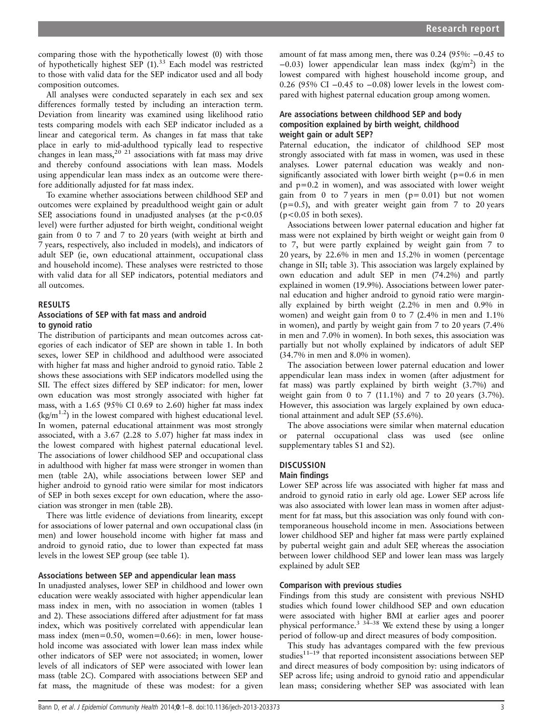comparing those with the hypothetically lowest (0) with those of hypothetically highest SEP (1).<sup>33</sup> Each model was restricted to those with valid data for the SEP indicator used and all body composition outcomes.

All analyses were conducted separately in each sex and sex differences formally tested by including an interaction term. Deviation from linearity was examined using likelihood ratio tests comparing models with each SEP indicator included as a linear and categorical term. As changes in fat mass that take place in early to mid-adulthood typically lead to respective changes in lean mass, $20^{21}$  associations with fat mass may drive and thereby confound associations with lean mass. Models using appendicular lean mass index as an outcome were therefore additionally adjusted for fat mass index.

To examine whether associations between childhood SEP and outcomes were explained by preadulthood weight gain or adult SEP, associations found in unadjusted analyses (at the  $p < 0.05$ level) were further adjusted for birth weight, conditional weight gain from 0 to 7 and 7 to 20 years (with weight at birth and 7 years, respectively, also included in models), and indicators of adult SEP (ie, own educational attainment, occupational class and household income). These analyses were restricted to those with valid data for all SEP indicators, potential mediators and all outcomes.

## RESULTS

## Associations of SEP with fat mass and android to gynoid ratio

The distribution of participants and mean outcomes across categories of each indicator of SEP are shown in table 1. In both sexes, lower SEP in childhood and adulthood were associated with higher fat mass and higher android to gynoid ratio. Table 2 shows these associations with SEP indicators modelled using the SII. The effect sizes differed by SEP indicator: for men, lower own education was most strongly associated with higher fat mass, with a 1.65 (95% CI 0.69 to 2.60) higher fat mass index  $(kg/m<sup>1.2</sup>)$  in the lowest compared with highest educational level. In women, paternal educational attainment was most strongly associated, with a 3.67 (2.28 to 5.07) higher fat mass index in the lowest compared with highest paternal educational level. The associations of lower childhood SEP and occupational class in adulthood with higher fat mass were stronger in women than men (table 2A), while associations between lower SEP and higher android to gynoid ratio were similar for most indicators of SEP in both sexes except for own education, where the association was stronger in men (table 2B).

There was little evidence of deviations from linearity, except for associations of lower paternal and own occupational class (in men) and lower household income with higher fat mass and android to gynoid ratio, due to lower than expected fat mass levels in the lowest SEP group (see table 1).

## Associations between SEP and appendicular lean mass

In unadjusted analyses, lower SEP in childhood and lower own education were weakly associated with higher appendicular lean mass index in men, with no association in women (tables 1 and 2). These associations differed after adjustment for fat mass index, which was positively correlated with appendicular lean mass index (men=0.50, women=0.66): in men, lower household income was associated with lower lean mass index while other indicators of SEP were not associated; in women, lower levels of all indicators of SEP were associated with lower lean mass (table 2C). Compared with associations between SEP and fat mass, the magnitude of these was modest: for a given

amount of fat mass among men, there was 0.24 (95%: −0.45 to −0.03) lower appendicular lean mass index (kg/m<sup>2</sup> ) in the lowest compared with highest household income group, and 0.26 (95% CI −0.45 to −0.08) lower levels in the lowest compared with highest paternal education group among women.

## Are associations between childhood SEP and body composition explained by birth weight, childhood weight gain or adult SEP?

Paternal education, the indicator of childhood SEP most strongly associated with fat mass in women, was used in these analyses. Lower paternal education was weakly and nonsignificantly associated with lower birth weight ( $p=0.6$  in men and  $p=0.2$  in women), and was associated with lower weight gain from 0 to 7 years in men  $(p= 0.01)$  but not women  $(p=0.5)$ , and with greater weight gain from 7 to 20 years  $(p<0.05$  in both sexes).

Associations between lower paternal education and higher fat mass were not explained by birth weight or weight gain from 0 to 7, but were partly explained by weight gain from 7 to 20 years, by 22.6% in men and 15.2% in women (percentage change in SII; table 3). This association was largely explained by own education and adult SEP in men (74.2%) and partly explained in women (19.9%). Associations between lower paternal education and higher android to gynoid ratio were marginally explained by birth weight (2.2% in men and 0.9% in women) and weight gain from 0 to 7 (2.4% in men and 1.1% in women), and partly by weight gain from 7 to 20 years (7.4% in men and 7.0% in women). In both sexes, this association was partially but not wholly explained by indicators of adult SEP (34.7% in men and 8.0% in women).

The association between lower paternal education and lower appendicular lean mass index in women (after adjustment for fat mass) was partly explained by birth weight (3.7%) and weight gain from 0 to 7 (11.1%) and 7 to 20 years (3.7%). However, this association was largely explained by own educational attainment and adult SEP (55.6%).

The above associations were similar when maternal education paternal occupational class was used (see online [supplementary tables](http://jech.bmj.com/lookup/suppl/doi:10.1136/jech-2013-203373/-/DC1) S1 and S2).

#### **DISCUSSION** Main findings

Lower SEP across life was associated with higher fat mass and android to gynoid ratio in early old age. Lower SEP across life was also associated with lower lean mass in women after adjustment for fat mass, but this association was only found with contemporaneous household income in men. Associations between lower childhood SEP and higher fat mass were partly explained by pubertal weight gain and adult SEP, whereas the association between lower childhood SEP and lower lean mass was largely explained by adult SEP.

## Comparison with previous studies

Findings from this study are consistent with previous NSHD studies which found lower childhood SEP and own education were associated with higher BMI at earlier ages and poorer physical performance.<sup>3</sup> <sup>34–38</sup> We extend these by using a longer period of follow-up and direct measures of body composition.

This study has advantages compared with the few previous studies $11-19$  that reported inconsistent associations between SEP and direct measures of body composition by: using indicators of SEP across life; using android to gynoid ratio and appendicular lean mass; considering whether SEP was associated with lean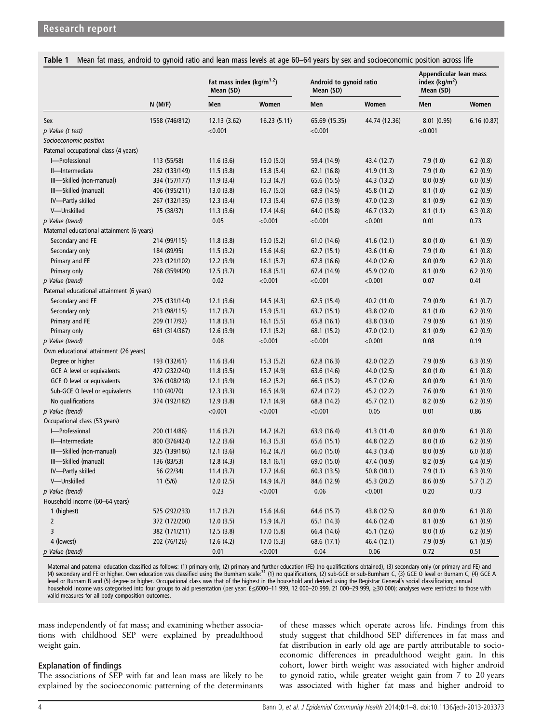#### Table 1 Mean fat mass, android to gynoid ratio and lean mass levels at age 60–64 years by sex and socioeconomic position across life

|                                           |                | Mean (SD)    | Fat mass index ( $kg/m^{1.2}$ )<br>Android to gynoid ratio<br>Mean (SD) |               |               | Appendicular lean mass<br>index ( $kq/m^2$ )<br>Mean (SD) |            |  |
|-------------------------------------------|----------------|--------------|-------------------------------------------------------------------------|---------------|---------------|-----------------------------------------------------------|------------|--|
|                                           | $N$ (M/F)      | Men          | Women                                                                   | Men           | Women         | Men                                                       | Women      |  |
| Sex                                       | 1558 (746/812) | 12.13 (3.62) | 16.23(5.11)                                                             | 65.69 (15.35) | 44.74 (12.36) | 8.01(0.95)                                                | 6.16(0.87) |  |
| p Value (t test)                          |                | < 0.001      |                                                                         | < 0.001       |               | < 0.001                                                   |            |  |
| Socioeconomic position                    |                |              |                                                                         |               |               |                                                           |            |  |
| Paternal occupational class (4 years)     |                |              |                                                                         |               |               |                                                           |            |  |
| I-Professional                            | 113 (55/58)    | 11.6(3.6)    | 15.0(5.0)                                                               | 59.4 (14.9)   | 43.4 (12.7)   | 7.9(1.0)                                                  | 6.2(0.8)   |  |
| II-Intermediate                           | 282 (133/149)  | 11.5(3.8)    | 15.8(5.4)                                                               | 62.1(16.8)    | 41.9 (11.3)   | 7.9(1.0)                                                  | 6.2(0.9)   |  |
| III-Skilled (non-manual)                  | 334 (157/177)  | 11.9(3.4)    | 15.3(4.7)                                                               | 65.6 (15.5)   | 44.3 (13.2)   | 8.0(0.9)                                                  | 6.0(0.9)   |  |
| III-Skilled (manual)                      | 406 (195/211)  | 13.0(3.8)    | 16.7(5.0)                                                               | 68.9 (14.5)   | 45.8 (11.2)   | 8.1(1.0)                                                  | 6.2(0.9)   |  |
| IV-Partly skilled                         | 267 (132/135)  | 12.3(3.4)    | 17.3(5.4)                                                               | 67.6 (13.9)   | 47.0 (12.3)   | 8.1(0.9)                                                  | 6.2(0.9)   |  |
| V-Unskilled                               | 75 (38/37)     | 11.3(3.6)    | 17.4(4.6)                                                               | 64.0 (15.8)   | 46.7 (13.2)   | 8.1(1.1)                                                  | 6.3(0.8)   |  |
| p Value (trend)                           |                | 0.05         | < 0.001                                                                 | < 0.001       | < 0.001       | 0.01                                                      | 0.73       |  |
| Maternal educational attainment (6 years) |                |              |                                                                         |               |               |                                                           |            |  |
| Secondary and FE                          | 214 (99/115)   | 11.8(3.8)    | 15.0(5.2)                                                               | 61.0 (14.6)   | 41.6 (12.1)   | 8.0(1.0)                                                  | 6.1(0.9)   |  |
| Secondary only                            | 184 (89/95)    | 11.5(3.2)    | 15.6(4.6)                                                               | 62.7(15.1)    | 43.6 (11.6)   | 7.9(1.0)                                                  | 6.1(0.8)   |  |
| Primary and FE                            | 223 (121/102)  | 12.2(3.9)    | 16.1(5.7)                                                               | 67.8 (16.6)   | 44.0 (12.6)   | 8.0(0.9)                                                  | 6.2(0.8)   |  |
| Primary only                              | 768 (359/409)  | 12.5(3.7)    | 16.8(5.1)                                                               | 67.4 (14.9)   | 45.9 (12.0)   | 8.1(0.9)                                                  | 6.2(0.9)   |  |
| p Value (trend)                           |                | 0.02         | < 0.001                                                                 | < 0.001       | < 0.001       | 0.07                                                      | 0.41       |  |
| Paternal educational attainment (6 years) |                |              |                                                                         |               |               |                                                           |            |  |
| Secondary and FE                          | 275 (131/144)  | 12.1(3.6)    | 14.5(4.3)                                                               | 62.5 (15.4)   | 40.2 (11.0)   | 7.9(0.9)                                                  | 6.1(0.7)   |  |
| Secondary only                            | 213 (98/115)   | 11.7(3.7)    | 15.9(5.1)                                                               | 63.7 (15.1)   | 43.8 (12.0)   | 8.1(1.0)                                                  | 6.2(0.9)   |  |
| Primary and FE                            | 209 (117/92)   | 11.8(3.1)    | 16.1(5.5)                                                               | 65.8 (16.1)   | 43.8 (13.0)   | 7.9(0.9)                                                  | 6.1(0.9)   |  |
| Primary only                              | 681 (314/367)  | 12.6(3.9)    | 17.1(5.2)                                                               | 68.1 (15.2)   | 47.0 (12.1)   | 8.1(0.9)                                                  | 6.2(0.9)   |  |
| p Value (trend)                           |                | 0.08         | < 0.001                                                                 | < 0.001       | < 0.001       | 0.08                                                      | 0.19       |  |
| Own educational attainment (26 years)     |                |              |                                                                         |               |               |                                                           |            |  |
| Degree or higher                          | 193 (132/61)   | 11.6(3.4)    | 15.3(5.2)                                                               | 62.8(16.3)    | 42.0 (12.2)   | 7.9(0.9)                                                  | 6.3(0.9)   |  |
| GCE A level or equivalents                | 472 (232/240)  | 11.8(3.5)    | 15.7(4.9)                                                               | 63.6 (14.6)   | 44.0 (12.5)   | 8.0(1.0)                                                  | 6.1(0.8)   |  |
| GCE O level or equivalents                | 326 (108/218)  | 12.1(3.9)    | 16.2(5.2)                                                               | 66.5 (15.2)   | 45.7 (12.6)   | 8.0(0.9)                                                  | 6.1(0.9)   |  |
| Sub-GCE O level or equivalents            | 110 (40/70)    | 12.3(3.3)    | 16.5(4.9)                                                               | 67.4 (17.2)   | 45.2 (12.2)   | 7.6(0.9)                                                  | 6.1(0.9)   |  |
| No qualifications                         | 374 (192/182)  | 12.9(3.8)    | 17.1(4.9)                                                               | 68.8 (14.2)   | 45.7 (12.1)   | 8.2(0.9)                                                  | 6.2(0.9)   |  |
| p Value (trend)                           |                | < 0.001      | < 0.001                                                                 | < 0.001       | 0.05          | 0.01                                                      | 0.86       |  |
| Occupational class (53 years)             |                |              |                                                                         |               |               |                                                           |            |  |
| I-Professional                            | 200 (114/86)   | 11.6(3.2)    | 14.7(4.2)                                                               | 63.9 (16.4)   | 41.3 (11.4)   | 8.0(0.9)                                                  | 6.1(0.8)   |  |
| II-Intermediate                           | 800 (376/424)  | 12.2(3.6)    | 16.3(5.3)                                                               | 65.6 (15.1)   | 44.8 (12.2)   | 8.0(1.0)                                                  | 6.2(0.9)   |  |
| III-Skilled (non-manual)                  | 325 (139/186)  | 12.1(3.6)    | 16.2(4.7)                                                               | 66.0 (15.0)   | 44.3 (13.4)   | 8.0(0.9)                                                  | 6.0(0.8)   |  |
| III-Skilled (manual)                      | 136 (83/53)    | 12.8(4.3)    | 18.1(6.1)                                                               | 69.0 (15.0)   | 47.4 (10.9)   | 8.2(0.9)                                                  | 6.4(0.9)   |  |
| IV-Partly skilled                         | 56 (22/34)     | 11.4(3.7)    | 17.7(4.6)                                                               | 60.3(13.5)    | 50.8(10.1)    | 7.9(1.1)                                                  | 6.3(0.9)   |  |
| V-Unskilled                               | 11(5/6)        | 12.0(2.5)    | 14.9(4.7)                                                               | 84.6 (12.9)   | 45.3 (20.2)   | 8.6(0.9)                                                  | 5.7(1.2)   |  |
| p Value (trend)                           |                | 0.23         | < 0.001                                                                 | 0.06          | < 0.001       | 0.20                                                      | 0.73       |  |
| Household income (60-64 years)            |                |              |                                                                         |               |               |                                                           |            |  |
| 1 (highest)                               | 525 (292/233)  | 11.7(3.2)    | 15.6 (4.6)                                                              | 64.6 (15.7)   | 43.8 (12.5)   | 8.0(0.9)                                                  | 6.1(0.8)   |  |
| 2                                         | 372 (172/200)  | 12.0(3.5)    | 15.9(4.7)                                                               | 65.1 (14.3)   | 44.6 (12.4)   | 8.1(0.9)                                                  | 6.1(0.9)   |  |
| 3                                         | 382 (171/211)  | 12.5(3.8)    | 17.0 (5.8)                                                              | 66.4 (14.6)   | 45.1 (12.6)   | 8.0(1.0)                                                  | 6.2(0.9)   |  |
| 4 (lowest)                                | 202 (76/126)   | 12.6(4.2)    | 17.0(5.3)                                                               | 68.6 (17.1)   | 46.4 (12.1)   | 7.9(0.9)                                                  | 6.1(0.9)   |  |
| p Value (trend)                           |                | 0.01         | < 0.001                                                                 | 0.04          | 0.06          | 0.72                                                      | 0.51       |  |

Maternal and paternal education classified as follows: (1) primary only, (2) primary and further education (FE) (no qualifications obtained), (3) secondary only (or primary and FE) and (4) secondary and FE or higher. Own education was classified using the Burnham scale:<sup>31</sup> (1) no qualifications, (2) sub-GCE or sub-Burnham C, (3) GCE O level or Burnam C, (4) GCE A level or Burnam B and (5) degree or higher. Occupational class was that of the highest in the household and derived using the Registrar General's social classification; annual household income was categorised into four groups to aid presentation (per year: £≤6000–11 999, 12 000–20 999, 21 000–29 999, ≥30 000); analyses were restricted to those with valid measures for all body composition outcomes.

mass independently of fat mass; and examining whether associations with childhood SEP were explained by preadulthood weight gain.

#### Explanation of findings

The associations of SEP with fat and lean mass are likely to be explained by the socioeconomic patterning of the determinants

of these masses which operate across life. Findings from this study suggest that childhood SEP differences in fat mass and fat distribution in early old age are partly attributable to socioeconomic differences in preadulthood weight gain. In this cohort, lower birth weight was associated with higher android to gynoid ratio, while greater weight gain from 7 to 20 years was associated with higher fat mass and higher android to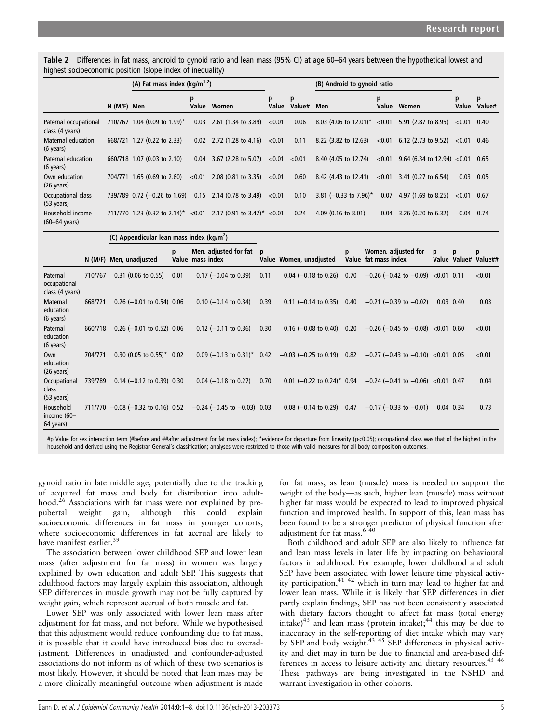Table 2 Differences in fat mass, android to gynoid ratio and lean mass (95% CI) at age 60–64 years between the hypothetical lowest and highest socioeconomic position (slope index of inequality)

|                                             |             | (A) Fat mass index ( $kg/m^{1.2}$ )                           |            |                            |            | (B) Android to gynoid ratio |                                |            |                                |            |             |
|---------------------------------------------|-------------|---------------------------------------------------------------|------------|----------------------------|------------|-----------------------------|--------------------------------|------------|--------------------------------|------------|-------------|
|                                             | N (M/F) Men |                                                               | p<br>Value | Women                      | p<br>Value | p<br>Value#                 | Men                            | p<br>Value | Women                          | p<br>Value | p<br>Value# |
| Paternal occupational<br>class (4 years)    |             | 710/767 1.04 (0.09 to 1.99)*                                  | 0.03       | 2.61 (1.34 to 3.89)        | < 0.01     | 0.06                        | 8.03 (4.06 to $12.01$ )* <0.01 |            | $5.91$ (2.87 to 8.95)          | < 0.01     | 0.40        |
| Maternal education<br>(6 years)             |             | 668/721 1.27 (0.22 to 2.33)                                   | 0.02       | 2.72 (1.28 to 4.16)        | < 0.01     | 0.11                        | 8.22 (3.82 to 12.63)           | < 0.01     | $6.12$ (2.73 to 9.52)          | < 0.01     | 0.46        |
| Paternal education<br>(6 years)             |             | 660/718 1.07 (0.03 to 2.10)                                   | 0.04       | $3.67$ (2.28 to 5.07)      | < 0.01     | < 0.01                      | 8.40 (4.05 to 12.74)           | < 0.01     | $9.64$ (6.34 to 12.94) < 0.01  |            | 0.65        |
| Own education<br>$(26 \text{ years})$       |             | 704/771 1.65 (0.69 to 2.60)                                   | < 0.01     | $2.08$ (0.81 to 3.35)      | < 0.01     | 0.60                        | 8.42 (4.43 to 12.41)           | < 0.01     | 3.41 (0.27 to 6.54)            | 0.03       | 0.05        |
| Occupational class<br>$(53 \text{ years})$  |             | 739/789 0.72 (-0.26 to 1.69)                                  |            | $0.15$ 2.14 (0.78 to 3.49) | < 0.01     | 0.10                        | 3.81 $(-0.33$ to 7.96)*        | 0.07       | 4.97 $(1.69 \text{ to } 8.25)$ | < 0.01     | 0.67        |
| Household income<br>$(60-64 \text{ years})$ |             | 711/770 1.23 (0.32 to 2.14)* <0.01 2.17 (0.91 to 3.42)* <0.01 |            |                            |            | 0.24                        | $4.09(0.16 \text{ to } 8.01)$  | 0.04       | 3.26 (0.20 to 6.32)            | 0.04       | 0.74        |

|                                               |         | (C) Appendicular lean mass index ( $\text{kg/m}^2$ ) |      |                                           |      |                              |      |                                             |             |   |                           |
|-----------------------------------------------|---------|------------------------------------------------------|------|-------------------------------------------|------|------------------------------|------|---------------------------------------------|-------------|---|---------------------------|
|                                               |         | N (M/F) Men, unadjusted                              | p    | Men, adjusted for fat<br>Value mass index | p    | Value Women, unadjusted      | p    | Women, adjusted for<br>Value fat mass index | p           | p | p<br>Value Value# Value## |
| Paternal<br>occupational<br>class (4 years)   | 710/767 | $0.31$ (0.06 to 0.55)                                | 0.01 | $0.17$ (-0.04 to 0.39)                    | 0.11 | $0.04$ (-0.18 to 0.26)       | 0.70 | $-0.26$ (-0.42 to $-0.09$ ) <0.01 0.11      |             |   | < 0.01                    |
| Maternal<br>education<br>$(6 \text{ years})$  | 668/721 | $0.26$ (-0.01 to 0.54) 0.06                          |      | $0.10$ (-0.14 to 0.34)                    | 0.39 | $0.11$ (-0.14 to 0.35)       | 0.40 | $-0.21$ ( $-0.39$ to $-0.02$ )              | $0.03$ 0.40 |   | 0.03                      |
| Paternal<br>education<br>(6 years)            | 660/718 | $0.26$ (-0.01 to 0.52) 0.06                          |      | $0.12$ (-0.11 to 0.36)                    | 0.30 | $0.16$ (-0.08 to 0.40)       | 0.20 | $-0.26$ (-0.45 to $-0.08$ ) <0.01 0.60      |             |   | < 0.01                    |
| Own<br>education<br>$(26 \text{ years})$      | 704/771 | $0.30$ (0.05 to 0.55)* 0.02                          |      | $0.09$ (-0.13 to 0.31) <sup>*</sup>       | 0.42 | $-0.03$ ( $-0.25$ to 0.19)   | 0.82 | $-0.27$ (-0.43 to $-0.10$ ) <0.01 0.05      |             |   | < 0.01                    |
| Occupational<br>class<br>$(53 \text{ years})$ | 739/789 | $0.14$ (-0.12 to 0.39) 0.30                          |      | $0.04$ (-0.18 to 0.27)                    | 0.70 | $0.01$ (-0.22 to 0.24)* 0.94 |      | $-0.24$ (-0.41 to -0.06) <0.01 0.47         |             |   | 0.04                      |
| Household<br>income (60-<br>64 years)         |         | $711/770 -0.08 (-0.32 \text{ to } 0.16) 0.52$        |      | $-0.24$ (-0.45 to $-0.03$ ) 0.03          |      | $0.08$ (-0.14 to 0.29)       | 0.47 | $-0.17$ ( $-0.33$ to $-0.01$ )              | $0.04$ 0.34 |   | 0.73                      |

#p Value for sex interaction term (#before and ##after adjustment for fat mass index); \*evidence for departure from linearity (p<0.05); occupational class was that of the highest in the<br>household and derived using the Regi

gynoid ratio in late middle age, potentially due to the tracking of acquired fat mass and body fat distribution into adulthood.<sup>26</sup> Associations with fat mass were not explained by prepubertal weight gain, although this could explain socioeconomic differences in fat mass in younger cohorts, where socioeconomic differences in fat accrual are likely to have manifest earlier.<sup>39</sup>

The association between lower childhood SEP and lower lean mass (after adjustment for fat mass) in women was largely explained by own education and adult SEP. This suggests that adulthood factors may largely explain this association, although SEP differences in muscle growth may not be fully captured by weight gain, which represent accrual of both muscle and fat.

Lower SEP was only associated with lower lean mass after adjustment for fat mass, and not before. While we hypothesised that this adjustment would reduce confounding due to fat mass, it is possible that it could have introduced bias due to overadjustment. Differences in unadjusted and confounder-adjusted associations do not inform us of which of these two scenarios is most likely. However, it should be noted that lean mass may be a more clinically meaningful outcome when adjustment is made

for fat mass, as lean (muscle) mass is needed to support the weight of the body—as such, higher lean (muscle) mass without higher fat mass would be expected to lead to improved physical function and improved health. In support of this, lean mass has been found to be a stronger predictor of physical function after adjustment for fat mass.<sup>6 40</sup>

Both childhood and adult SEP are also likely to influence fat and lean mass levels in later life by impacting on behavioural factors in adulthood. For example, lower childhood and adult SEP have been associated with lower leisure time physical activity participation,<sup>41 42</sup> which in turn may lead to higher fat and lower lean mass. While it is likely that SEP differences in diet partly explain findings, SEP has not been consistently associated with dietary factors thought to affect fat mass (total energy intake) $43$  and lean mass (protein intake); $44$  this may be due to inaccuracy in the self-reporting of diet intake which may vary by SEP and body weight.43 45 SEP differences in physical activity and diet may in turn be due to financial and area-based differences in access to leisure activity and dietary resources.<sup>43 46</sup> These pathways are being investigated in the NSHD and warrant investigation in other cohorts.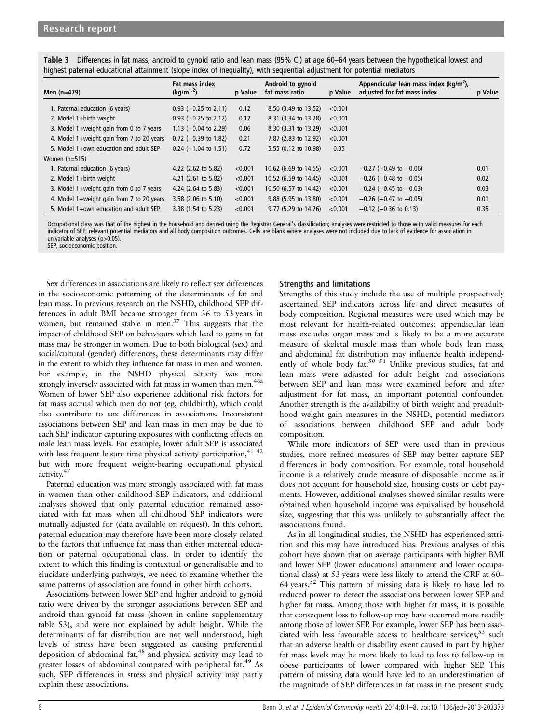| Table 3 Differences in fat mass, android to gynoid ratio and lean mass (95% CI) at age 60-64 years between the hypothetical lowest and |  |  |  |  |
|----------------------------------------------------------------------------------------------------------------------------------------|--|--|--|--|
| highest paternal educational attainment (slope index of inequality), with sequential adjustment for potential mediators                |  |  |  |  |

| Men $(n=479)$                             | <b>Fat mass index</b><br>$(kg/m^{1.2})$ | p Value | Android to gynoid<br>fat mass ratio | p Value | Appendicular lean mass index ( $kg/m2$ ),<br>adjusted for fat mass index | p Value |
|-------------------------------------------|-----------------------------------------|---------|-------------------------------------|---------|--------------------------------------------------------------------------|---------|
| 1. Paternal education (6 years)           | $0.93$ (-0.25 to 2.11)                  | 0.12    | 8.50 (3.49 to 13.52)                | < 0.001 |                                                                          |         |
| 2. Model 1+birth weight                   | $0.93$ (-0.25 to 2.12)                  | 0.12    | 8.31 (3.34 to 13.28)                | < 0.001 |                                                                          |         |
| 3. Model 1+weight gain from 0 to 7 years  | 1.13 $(-0.04 \text{ to } 2.29)$         | 0.06    | 8.30 (3.31 to 13.29)                | < 0.001 |                                                                          |         |
| 4. Model 1+weight gain from 7 to 20 years | $0.72$ (-0.39 to 1.82)                  | 0.21    | 7.87 (2.83 to 12.92)                | < 0.001 |                                                                          |         |
| 5. Model 1+0wn education and adult SEP    | $0.24$ (-1.04 to 1.51)                  | 0.72    | 5.55 (0.12 to 10.98)                | 0.05    |                                                                          |         |
| Women $(n=515)$                           |                                         |         |                                     |         |                                                                          |         |
| 1. Paternal education (6 years)           | 4.22 (2.62 to 5.82)                     | < 0.001 | 10.62 (6.69 to 14.55)               | < 0.001 | $-0.27$ (-0.49 to $-0.06$ )                                              | 0.01    |
| 2. Model 1+birth weight                   | $4.21$ (2.61 to 5.82)                   | < 0.001 | 10.52 (6.59 to 14.45)               | < 0.001 | $-0.26$ ( $-0.48$ to $-0.05$ )                                           | 0.02    |
| 3. Model 1+weight gain from 0 to 7 years  | $4.24$ $(2.64 \text{ to } 5.83)$        | < 0.001 | 10.50 (6.57 to 14.42)               | < 0.001 | $-0.24$ (-0.45 to $-0.03$ )                                              | 0.03    |
| 4. Model 1+weight gain from 7 to 20 years | 3.58 (2.06 to 5.10)                     | < 0.001 | 9.88 (5.95 to 13.80)                | < 0.001 | $-0.26$ ( $-0.47$ to $-0.05$ )                                           | 0.01    |
| 5. Model 1+own education and adult SEP    | 3.38 (1.54 to 5.23)                     | < 0.001 | 9.77 (5.29 to 14.26)                | < 0.001 | $-0.12$ ( $-0.36$ to 0.13)                                               | 0.35    |

Occupational class was that of the highest in the household and derived using the Registrar General's classification; analyses were restricted to those with valid measures for each indicator of SEP, relevant potential mediators and all body composition outcomes. Cells are blank where analyses were not included due to lack of evidence for association in univariable analyses (p>0.05). SEP, socioeconomic position.

Sex differences in associations are likely to reflect sex differences in the socioeconomic patterning of the determinants of fat and lean mass. In previous research on the NSHD, childhood SEP differences in adult BMI became stronger from 36 to 53 years in women, but remained stable in men.<sup>37</sup> This suggests that the impact of childhood SEP on behaviours which lead to gains in fat mass may be stronger in women. Due to both biological (sex) and social/cultural (gender) differences, these determinants may differ in the extent to which they influence fat mass in men and women. For example, in the NSHD physical activity was more strongly inversely associated with fat mass in women than men.<sup>46a</sup> Women of lower SEP also experience additional risk factors for fat mass accrual which men do not (eg, childbirth), which could also contribute to sex differences in associations. Inconsistent associations between SEP and lean mass in men may be due to each SEP indicator capturing exposures with conflicting effects on male lean mass levels. For example, lower adult SEP is associated with less frequent leisure time physical activity participation,  $41\frac{42}{2}$ but with more frequent weight-bearing occupational physical activity.<sup>47</sup>

Paternal education was more strongly associated with fat mass in women than other childhood SEP indicators, and additional analyses showed that only paternal education remained associated with fat mass when all childhood SEP indicators were mutually adjusted for (data available on request). In this cohort, paternal education may therefore have been more closely related to the factors that influence fat mass than either maternal education or paternal occupational class. In order to identify the extent to which this finding is contextual or generalisable and to elucidate underlying pathways, we need to examine whether the same patterns of association are found in other birth cohorts.

Associations between lower SEP and higher android to gynoid ratio were driven by the stronger associations between SEP and android than gynoid fat mass (shown in online [supplementary](http://jech.bmj.com/lookup/suppl/doi:10.1136/jech-2013-203373/-/DC1) [table](http://jech.bmj.com/lookup/suppl/doi:10.1136/jech-2013-203373/-/DC1) S3), and were not explained by adult height. While the determinants of fat distribution are not well understood, high levels of stress have been suggested as causing preferential deposition of abdominal fat,<sup>48</sup> and physical activity may lead to greater losses of abdominal compared with peripheral fat.<sup>49</sup> As such, SEP differences in stress and physical activity may partly explain these associations.

## Strengths and limitations

Strengths of this study include the use of multiple prospectively ascertained SEP indicators across life and direct measures of body composition. Regional measures were used which may be most relevant for health-related outcomes: appendicular lean mass excludes organ mass and is likely to be a more accurate measure of skeletal muscle mass than whole body lean mass, and abdominal fat distribution may influence health independently of whole body fat.<sup>50 51</sup> Unlike previous studies, fat and lean mass were adjusted for adult height and associations between SEP and lean mass were examined before and after adjustment for fat mass, an important potential confounder. Another strength is the availability of birth weight and preadulthood weight gain measures in the NSHD, potential mediators of associations between childhood SEP and adult body composition.

While more indicators of SEP were used than in previous studies, more refined measures of SEP may better capture SEP differences in body composition. For example, total household income is a relatively crude measure of disposable income as it does not account for household size, housing costs or debt payments. However, additional analyses showed similar results were obtained when household income was equivalised by household size, suggesting that this was unlikely to substantially affect the associations found.

As in all longitudinal studies, the NSHD has experienced attrition and this may have introduced bias. Previous analyses of this cohort have shown that on average participants with higher BMI and lower SEP (lower educational attainment and lower occupational class) at 53 years were less likely to attend the CRF at 60– 64 years.<sup>52</sup> This pattern of missing data is likely to have led to reduced power to detect the associations between lower SEP and higher fat mass. Among those with higher fat mass, it is possible that consequent loss to follow-up may have occurred more readily among those of lower SEP. For example, lower SEP has been associated with less favourable access to healthcare services,  $53$  such that an adverse health or disability event caused in part by higher fat mass levels may be more likely to lead to loss to follow-up in obese participants of lower compared with higher SEP. This pattern of missing data would have led to an underestimation of the magnitude of SEP differences in fat mass in the present study.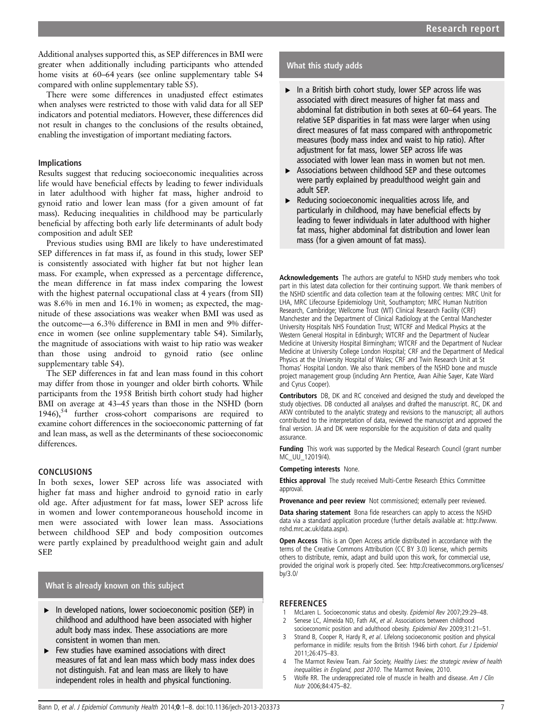Additional analyses supported this, as SEP differences in BMI were greater when additionally including participants who attended home visits at 60–64 years (see online [supplementary table](http://jech.bmj.com/lookup/suppl/doi:10.1136/jech-2013-203373/-/DC1) S4 compared with online [supplementary table](http://jech.bmj.com/lookup/suppl/doi:10.1136/jech-2013-203373/-/DC1) S5).

There were some differences in unadjusted effect estimates when analyses were restricted to those with valid data for all SEP indicators and potential mediators. However, these differences did not result in changes to the conclusions of the results obtained, enabling the investigation of important mediating factors.

## Implications

Results suggest that reducing socioeconomic inequalities across life would have beneficial effects by leading to fewer individuals in later adulthood with higher fat mass, higher android to gynoid ratio and lower lean mass (for a given amount of fat mass). Reducing inequalities in childhood may be particularly beneficial by affecting both early life determinants of adult body composition and adult SEP.

Previous studies using BMI are likely to have underestimated SEP differences in fat mass if, as found in this study, lower SEP is consistently associated with higher fat but not higher lean mass. For example, when expressed as a percentage difference, the mean difference in fat mass index comparing the lowest with the highest paternal occupational class at 4 years (from SII) was 8.6% in men and 16.1% in women; as expected, the magnitude of these associations was weaker when BMI was used as the outcome—a 6.3% difference in BMI in men and 9% difference in women (see online [supplementary table](http://jech.bmj.com/lookup/suppl/doi:10.1136/jech-2013-203373/-/DC1) S4). Similarly, the magnitude of associations with waist to hip ratio was weaker than those using android to gynoid ratio (see online [supplementary table](http://jech.bmj.com/lookup/suppl/doi:10.1136/jech-2013-203373/-/DC1) S4).

The SEP differences in fat and lean mass found in this cohort may differ from those in younger and older birth cohorts. While participants from the 1958 British birth cohort study had higher BMI on average at 43–45 years than those in the NSHD (born 1946), $54$  further cross-cohort comparisons are required to examine cohort differences in the socioeconomic patterning of fat and lean mass, as well as the determinants of these socioeconomic differences.

## CONCLUSIONS

In both sexes, lower SEP across life was associated with higher fat mass and higher android to gynoid ratio in early old age. After adjustment for fat mass, lower SEP across life in women and lower contemporaneous household income in men were associated with lower lean mass. Associations between childhood SEP and body composition outcomes were partly explained by preadulthood weight gain and adult SEP.

## What is already known on this subject

- ▸ In developed nations, lower socioeconomic position (SEP) in childhood and adulthood have been associated with higher adult body mass index. These associations are more consistent in women than men.
- $\blacktriangleright$  Few studies have examined associations with direct measures of fat and lean mass which body mass index does not distinguish. Fat and lean mass are likely to have independent roles in health and physical functioning.

#### What this study adds

- ▶ In a British birth cohort study, lower SEP across life was associated with direct measures of higher fat mass and abdominal fat distribution in both sexes at 60–64 years. The relative SEP disparities in fat mass were larger when using direct measures of fat mass compared with anthropometric measures (body mass index and waist to hip ratio). After adjustment for fat mass, lower SEP across life was associated with lower lean mass in women but not men.
- Associations between childhood SEP and these outcomes were partly explained by preadulthood weight gain and adult SEP.
- ▸ Reducing socioeconomic inequalities across life, and particularly in childhood, may have beneficial effects by leading to fewer individuals in later adulthood with higher fat mass, higher abdominal fat distribution and lower lean mass (for a given amount of fat mass).

Acknowledgements The authors are grateful to NSHD study members who took part in this latest data collection for their continuing support. We thank members of the NSHD scientific and data collection team at the following centres: MRC Unit for LHA, MRC Lifecourse Epidemiology Unit, Southampton; MRC Human Nutrition Research, Cambridge; Wellcome Trust (WT) Clinical Research Facility (CRF) Manchester and the Department of Clinical Radiology at the Central Manchester University Hospitals NHS Foundation Trust; WTCRF and Medical Physics at the Western General Hospital in Edinburgh; WTCRF and the Department of Nuclear Medicine at University Hospital Birmingham; WTCRF and the Department of Nuclear Medicine at University College London Hospital; CRF and the Department of Medical Physics at the University Hospital of Wales; CRF and Twin Research Unit at St Thomas' Hospital London. We also thank members of the NSHD bone and muscle project management group (including Ann Prentice, Avan Aihie Sayer, Kate Ward and Cyrus Cooper).

Contributors DB, DK and RC conceived and designed the study and developed the study objectives. DB conducted all analyses and drafted the manuscript. RC, DK and AKW contributed to the analytic strategy and revisions to the manuscript; all authors contributed to the interpretation of data, reviewed the manuscript and approved the final version. JA and DK were responsible for the acquisition of data and quality assurance.

Funding This work was supported by the Medical Research Council (grant number MC\_UU\_12019/4).

#### Competing interests None.

Ethics approval The study received Multi-Centre Research Ethics Committee approval.

Provenance and peer review Not commissioned; externally peer reviewed.

Data sharing statement Bona fide researchers can apply to access the NSHD data via a standard application procedure (further details available at: [http://www.](http://www.nshd.mrc.ac.uk/data.aspx) [nshd.mrc.ac.uk/data.aspx](http://www.nshd.mrc.ac.uk/data.aspx)).

Open Access This is an Open Access article distributed in accordance with the terms of the Creative Commons Attribution (CC BY 3.0) license, which permits others to distribute, remix, adapt and build upon this work, for commercial use, provided the original work is properly cited. See: [http://creativecommons.org/licenses/](http://creativecommons.org/licenses/by/3.0/) [by/3.0/](http://creativecommons.org/licenses/by/3.0/)

#### REFERENCES

- McLaren L. Socioeconomic status and obesity. Epidemiol Rev 2007;29:29-48.
- 2 Senese LC, Almeida ND, Fath AK, et al. Associations between childhood socioeconomic position and adulthood obesity. Epidemiol Rev 2009;31:21-51. 3 Strand B, Cooper R, Hardy R, et al. Lifelong socioeconomic position and physical
- performance in midlife: results from the British 1946 birth cohort. Eur J Epidemiol 2011;26:475–83.
- 4 The Marmot Review Team. Fair Society, Healthy Lives: the strategic review of health inequalities in England, post 2010. The Marmot Review, 2010.
- Wolfe RR. The underappreciated role of muscle in health and disease. Am J Clin Nutr 2006;84:475–82.